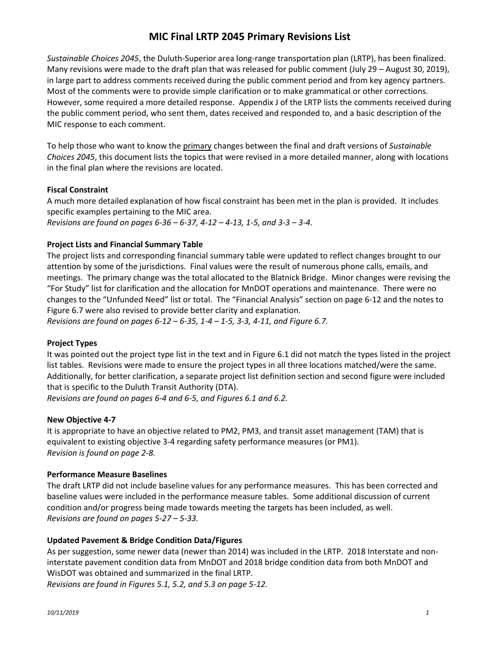# **MIC Final LRTP 2045 Primary Revisions List**

*Sustainable Choices 2045*, the Duluth-Superior area long-range transportation plan (LRTP), has been finalized. Many revisions were made to the draft plan that was released for public comment (July 29 – August 30, 2019), in large part to address comments received during the public comment period and from key agency partners. Most of the comments were to provide simple clarification or to make grammatical or other corrections. However, some required a more detailed response. Appendix J of the LRTP lists the comments received during the public comment period, who sent them, dates received and responded to, and a basic description of the MIC response to each comment.

To help those who want to know the primary changes between the final and draft versions of *Sustainable Choices 2045*, this document lists the topics that were revised in a more detailed manner, along with locations in the final plan where the revisions are located.

## **Fiscal Constraint**

A much more detailed explanation of how fiscal constraint has been met in the plan is provided. It includes specific examples pertaining to the MIC area. *Revisions are found on pages 6-36 – 6-37, 4-12 – 4-13, 1-5, and 3-3 – 3-4.*

## **Project Lists and Financial Summary Table**

The project lists and corresponding financial summary table were updated to reflect changes brought to our attention by some of the jurisdictions. Final values were the result of numerous phone calls, emails, and meetings. The primary change was the total allocated to the Blatnick Bridge. Minor changes were revising the "For Study" list for clarification and the allocation for MnDOT operations and maintenance. There were no changes to the "Unfunded Need" list or total. The "Financial Analysis" section on page 6-12 and the notes to Figure 6.7 were also revised to provide better clarity and explanation.

*Revisions are found on pages 6-12 – 6-35, 1-4 – 1-5, 3-3, 4-11, and Figure 6.7.*

## **Project Types**

It was pointed out the project type list in the text and in Figure 6.1 did not match the types listed in the project list tables. Revisions were made to ensure the project types in all three locations matched/were the same. Additionally, for better clarification, a separate project list definition section and second figure were included that is specific to the Duluth Transit Authority (DTA).

*Revisions are found on pages 6-4 and 6-5, and Figures 6.1 and 6.2.*

## **New Objective 4-7**

It is appropriate to have an objective related to PM2, PM3, and transit asset management (TAM) that is equivalent to existing objective 3-4 regarding safety performance measures (or PM1). *Revision is found on page 2-8.*

## **Performance Measure Baselines**

The draft LRTP did not include baseline values for any performance measures. This has been corrected and baseline values were included in the performance measure tables. Some additional discussion of current condition and/or progress being made towards meeting the targets has been included, as well. *Revisions are found on pages 5-27 – 5-33.*

## **Updated Pavement & Bridge Condition Data/Figures**

As per suggestion, some newer data (newer than 2014) was included in the LRTP. 2018 Interstate and noninterstate pavement condition data from MnDOT and 2018 bridge condition data from both MnDOT and WisDOT was obtained and summarized in the final LRTP.

*Revisions are found in Figures 5.1, 5.2, and 5.3 on page 5-12.*